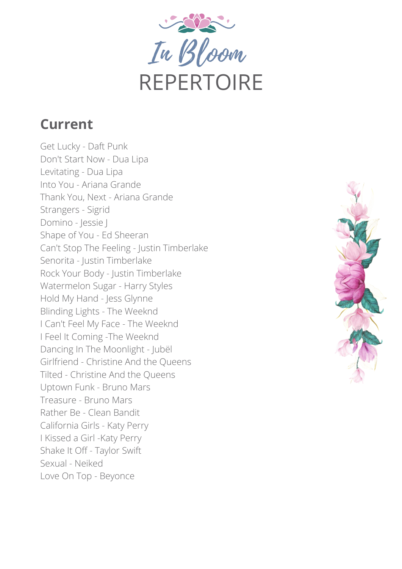Get Lucky - Daft Punk Don't Start Now - Dua Lipa Levitating - Dua Lipa Into You - Ariana Grande Thank You, Next - Ariana Grande Strangers - Sigrid Domino - Jessie J Shape of You - Ed Sheeran Can't Stop The Feeling - Justin Timberlake Senorita - Justin Timberlake Rock Your Body - Justin Timberlake Watermelon Sugar - Harry Styles Hold My Hand - Jess Glynne Blinding Lights - The Weeknd I Can't Feel My Face - The Weeknd I Feel It Coming -The Weeknd Dancing In The Moonlight - Jubël Girlfriend - Christine And the Queens Tilted - Christine And the Queens Uptown Funk - Bruno Mars Treasure - Bruno Mars Rather Be - Clean Bandit California Girls - Katy Perry I Kissed a Girl -Katy Perry Shake It Off - Taylor Swift Sexual - Neiked Love On Top - Beyonce





# REPERTOIRE

### **Current**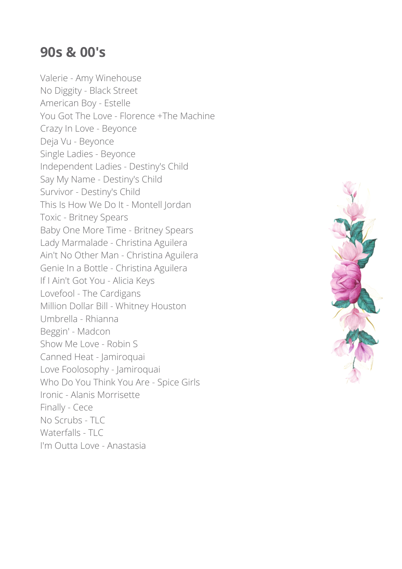Valerie - Amy Winehouse No Diggity - Black Street American Boy - Estelle You Got The Love - Florence +The Machine Crazy In Love - Beyonce Deja Vu - Beyonce Single Ladies - Beyonce Independent Ladies - Destiny's Child Say My Name - Destiny's Child Survivor - Destiny's Child This Is How We Do It - Montell Jordan Toxic - Britney Spears Baby One More Time - Britney Spears Lady Marmalade - Christina Aguilera Ain't No Other Man - Christina Aguilera Genie In a Bottle - Christina Aguilera If I Ain't Got You - Alicia Keys Lovefool - The Cardigans Million Dollar Bill - Whitney Houston Umbrella - Rhianna Beggin' - Madcon Show Me Love - Robin S Canned Heat - Jamiroquai Love Foolosophy - Jamiroquai Who Do You Think You Are - Spice Girls Ironic - Alanis Morrisette Finally - Cece No Scrubs - TLC Waterfalls - TLC I'm Outta Love - Anastasia



#### **90s & 00's**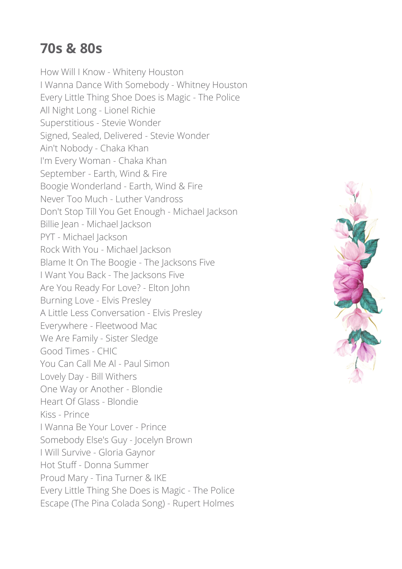#### **70s & 80s**

How Will I Know - Whiteny Houston I Wanna Dance With Somebody - Whitney Houston Every Little Thing Shoe Does is Magic - The Police All Night Long - Lionel Richie Superstitious - Stevie Wonder Signed, Sealed, Delivered - Stevie Wonder Ain't Nobody - Chaka Khan I'm Every Woman - Chaka Khan September - Earth, Wind & Fire Boogie Wonderland - Earth, Wind & Fire Never Too Much - Luther Vandross Don't Stop Till You Get Enough - Michael Jackson Billie Jean - Michael Jackson PYT - Michael Jackson Rock With You - Michael Jackson Blame It On The Boogie - The Jacksons Five I Want You Back - The Jacksons Five Are You Ready For Love? - Elton John Burning Love - Elvis Presley A Little Less Conversation - Elvis Presley Everywhere - Fleetwood Mac We Are Family - Sister Sledge Good Times - CHIC You Can Call Me Al - Paul Simon Lovely Day - Bill Withers One Way or Another - Blondie Heart Of Glass - Blondie Kiss - Prince I Wanna Be Your Lover - Prince Somebody Else's Guy - Jocelyn Brown I Will Survive - Gloria Gaynor Hot Stuff - Donna Summer Proud Mary - Tina Turner & IKE Every Little Thing She Does is Magic - The Police Escape (The Pina Colada Song) - Rupert Holmes